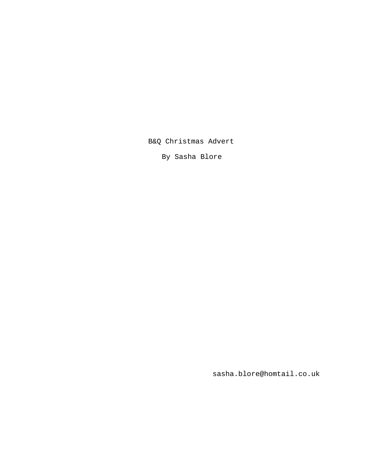B&Q Christmas Advert

By Sasha Blore

sasha.blore@homtail.co.uk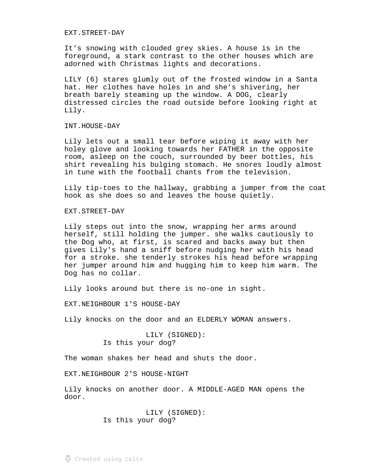EXT.STREET-DAY

It's snowing with clouded grey skies. A house is in the foreground, a stark contrast to the other houses which are adorned with Christmas lights and decorations.

LILY (6) stares glumly out of the frosted window in a Santa hat. Her clothes have holes in and she's shivering, her breath barely steaming up the window. A DOG, clearly distressed circles the road outside before looking right at Lily.

INT.HOUSE-DAY

Lily lets out a small tear before wiping it away with her holey glove and looking towards her FATHER in the opposite room, asleep on the couch, surrounded by beer bottles, his shirt revealing his bulging stomach. He snores loudly almost in tune with the football chants from the television.

Lily tip-toes to the hallway, grabbing a jumper from the coat hook as she does so and leaves the house quietly.

EXT.STREET-DAY

Lily steps out into the snow, wrapping her arms around herself, still holding the jumper. she walks cautiously to the Dog who, at first, is scared and backs away but then gives Lily's hand a sniff before nudging her with his head for a stroke. she tenderly strokes his head before wrapping her jumper around him and hugging him to keep him warm. The Dog has no collar.

Lily looks around but there is no-one in sight.

EXT.NEIGHBOUR 1'S HOUSE-DAY

Lily knocks on the door and an ELDERLY WOMAN answers.

LILY (SIGNED): Is this your dog?

The woman shakes her head and shuts the door.

EXT.NEIGHBOUR 2'S HOUSE-NIGHT

Lily knocks on another door. A MIDDLE-AGED MAN opens the door.

> LILY (SIGNED): Is this your dog?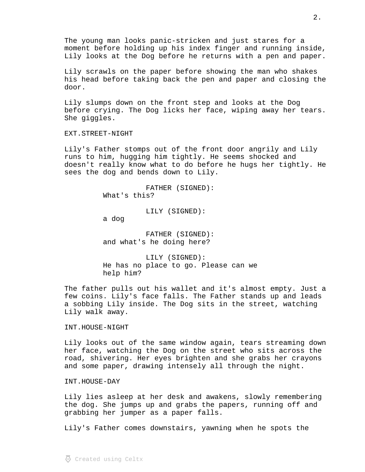The young man looks panic-stricken and just stares for a moment before holding up his index finger and running inside, Lily looks at the Dog before he returns with a pen and paper.

Lily scrawls on the paper before showing the man who shakes his head before taking back the pen and paper and closing the door.

Lily slumps down on the front step and looks at the Dog before crying. The Dog licks her face, wiping away her tears. She giggles.

EXT.STREET-NIGHT

Lily's Father stomps out of the front door angrily and Lily runs to him, hugging him tightly. He seems shocked and doesn't really know what to do before he hugs her tightly. He sees the dog and bends down to Lily.

> FATHER (SIGNED): What's this?

> > LILY (SIGNED):

a dog

FATHER (SIGNED): and what's he doing here?

LILY (SIGNED): He has no place to go. Please can we help him?

The father pulls out his wallet and it's almost empty. Just a few coins. Lily's face falls. The Father stands up and leads a sobbing Lily inside. The Dog sits in the street, watching Lily walk away.

INT.HOUSE-NIGHT

Lily looks out of the same window again, tears streaming down her face, watching the Dog on the street who sits across the road, shivering. Her eyes brighten and she grabs her crayons and some paper, drawing intensely all through the night.

INT.HOUSE-DAY

Lily lies asleep at her desk and awakens, slowly remembering the dog. She jumps up and grabs the papers, running off and grabbing her jumper as a paper falls.

Lily's Father comes downstairs, yawning when he spots the